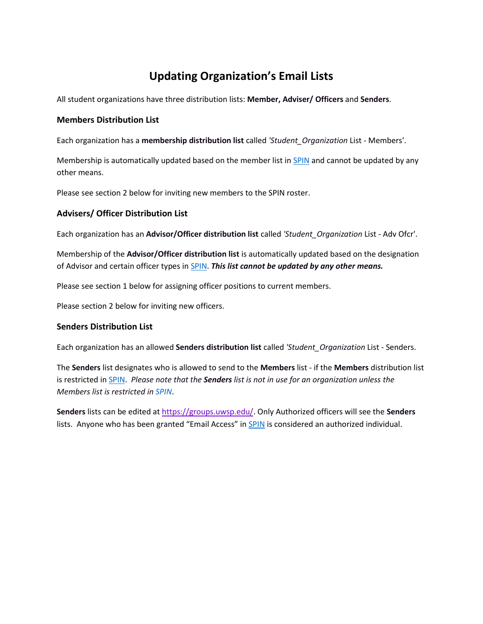# **Updating Organization's Email Lists**

All student organizations have three distribution lists: **Member, Adviser/ Officers** and **Senders**.

### **Members Distribution List**

Each organization has a **membership distribution list** called *'Student\_Organization* List - Members'. 

Membership is automatically updated based on the member list in [SPIN](https://www.uwsp.edu/centers/CASE/pages/SPIN.aspx) and cannot be updated by any other means.

Please see section 2 below for inviting new members to the SPIN roster.

# **Advisers/ Officer Distribution List**

Each organization has an **Advisor/Officer distribution list** called *'Student\_Organization* List - Adv Ofcr'.

Membership of the **Advisor/Officer distribution list** is automatically updated based on the designation of Advisor and certain officer types in [SPIN.](https://www.uwsp.edu/centers/CASE/pages/SPIN.aspx) *This list cannot be updated by any other means.*

Please see section 1 below for assigning officer positions to current members.

Please section 2 below for inviting new officers.

# **Senders Distribution List**

Each organization has an allowed **Senders distribution list** called *'Student\_Organization* List - Senders. 

The **Senders** list designates who is allowed to send to the **Members** list - if the **Members** distribution list is restricted in [SPIN.](https://www.uwsp.edu/centers/CASE/pages/SPIN.aspx) *Please note that the Senders list is not in use for an organization unless the Members list is restricted in [SPIN](https://www.uwsp.edu/centers/CASE/pages/SPIN.aspx)*.

**Senders** lists can be edited at [https://groups.uwsp.edu/.](https://groups.uwsp.edu/) Only Authorized officers will see the **Senders** lists. Anyone who has been granted "Email Access" in [SPIN](https://www.uwsp.edu/centers/CASE/pages/SPIN.aspx) is considered an authorized individual.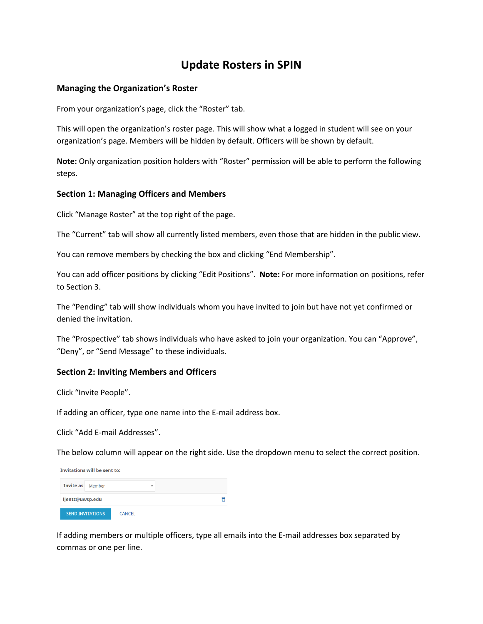# **Update Rosters in SPIN**

### **Managing the Organization's Roster**

From your organization's page, click the "Roster" tab.

This will open the organization's roster page. This will show what a logged in student will see on your organization's page. Members will be hidden by default. Officers will be shown by default.

**Note:** Only organization position holders with "Roster" permission will be able to perform the following steps.

### **Section 1: Managing Officers and Members**

Click "Manage Roster" at the top right of the page.

The "Current" tab will show all currently listed members, even those that are hidden in the public view.

You can remove members by checking the box and clicking "End Membership".

You can add officer positions by clicking "Edit Positions". **Note:** For more information on positions, refer to Section 3.

The "Pending" tab will show individuals whom you have invited to join but have not yet confirmed or denied the invitation.

The "Prospective" tab shows individuals who have asked to join your organization. You can "Approve", "Deny", or "Send Message" to these individuals.

#### **Section 2: Inviting Members and Officers**

Click "Invite People".

If adding an officer, type one name into the E-mail address box.

Click "Add E-mail Addresses".

The below column will appear on the right side. Use the dropdown menu to select the correct position.

| Invitations will be sent to: |                         |               |   |  |  |
|------------------------------|-------------------------|---------------|---|--|--|
| <b>Invite as</b> Member      |                         |               | v |  |  |
| ljentz@uwsp.edu              |                         |               |   |  |  |
|                              | <b>SEND INVITATIONS</b> | <b>CANCEL</b> |   |  |  |

If adding members or multiple officers, type all emails into the E-mail addresses box separated by commas or one per line.